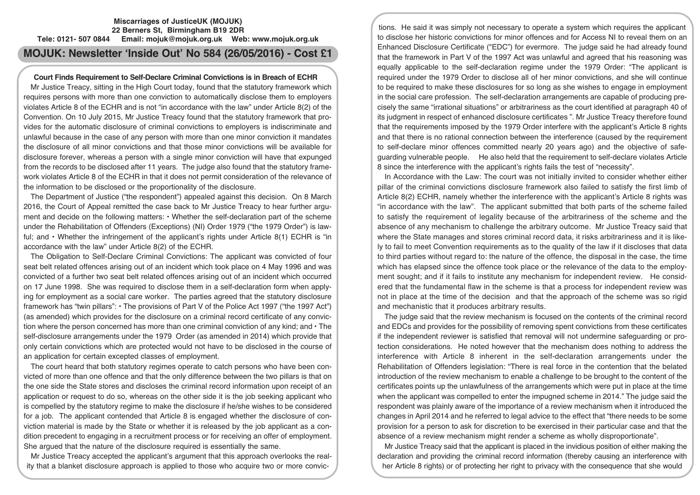# **Miscarriages of JusticeUK (MOJUK) 22 Berners St, Birmingham B19 2DR Tele: 0121- 507 0844 Email: mojuk@mojuk.org.uk Web: www.mojuk.org.uk**

# **MOJUK: Newsletter 'Inside Out' No 584 (26/05/2016) - Cost £1**

# **Court Finds Requirement to Self-Declare Criminal Convictions is in Breach of ECHR**

Mr Justice Treacy, sitting in the High Court today, found that the statutory framework which requires persons with more than one conviction to automatically disclose them to employers violates Article 8 of the ECHR and is not "in accordance with the law" under Article 8(2) of the Convention. On 10 July 2015, Mr Justice Treacy found that the statutory framework that provides for the automatic disclosure of criminal convictions to employers is indiscriminate and unlawful because in the case of any person with more than one minor conviction it mandates the disclosure of all minor convictions and that those minor convictions will be available for disclosure forever, whereas a person with a single minor conviction will have that expunged from the records to be disclosed after 11 years. The judge also found that the statutory framework violates Article 8 of the ECHR in that it does not permit consideration of the relevance of the information to be disclosed or the proportionality of the disclosure.

The Department of Justice ("the respondent") appealed against this decision. On 8 March 2016, the Court of Appeal remitted the case back to Mr Justice Treacy to hear further argument and decide on the following matters: • Whether the self-declaration part of the scheme under the Rehabilitation of Offenders (Exceptions) (NI) Order 1979 ("the 1979 Order") is lawful; and • Whether the infringement of the applicant's rights under Article 8(1) ECHR is "in accordance with the law" under Article 8(2) of the ECHR.

The Obligation to Self-Declare Criminal Convictions: The applicant was convicted of four seat belt related offences arising out of an incident which took place on 4 May 1996 and was convicted of a further two seat belt related offences arising out of an incident which occurred on 17 June 1998. She was required to disclose them in a self-declaration form when applying for employment as a social care worker. The parties agreed that the statutory disclosure framework has "twin pillars": • The provisions of Part V of the Police Act 1997 ("the 1997 Act") (as amended) which provides for the disclosure on a criminal record certificate of any conviction where the person concerned has more than one criminal conviction of any kind; and • The self-disclosure arrangements under the 1979 Order (as amended in 2014) which provide that only certain convictions which are protected would not have to be disclosed in the course of an application for certain excepted classes of employment.

The court heard that both statutory regimes operate to catch persons who have been convicted of more than one offence and that the only difference between the two pillars is that on the one side the State stores and discloses the criminal record information upon receipt of an application or request to do so, whereas on the other side it is the job seeking applicant who is compelled by the statutory regime to make the disclosure if he/she wishes to be considered for a job. The applicant contended that Article 8 is engaged whether the disclosure of conviction material is made by the State or whether it is released by the job applicant as a condition precedent to engaging in a recruitment process or for receiving an offer of employment. She argued that the nature of the disclosure required is essentially the same.

Mr Justice Treacy accepted the applicant's argument that this approach overlooks the reality that a blanket disclosure approach is applied to those who acquire two or more convic-

tions. He said it was simply not necessary to operate a system which requires the applicant to disclose her historic convictions for minor offences and for Access NI to reveal them on an Enhanced Disclosure Certificate ("EDC") for evermore. The judge said he had already found that the framework in Part V of the 1997 Act was unlawful and agreed that his reasoning was equally applicable to the self-declaration regime under the 1979 Order: "The applicant is required under the 1979 Order to disclose all of her minor convictions, and she will continue to be required to make these disclosures for so long as she wishes to engage in employment in the social care profession. The self-declaration arrangements are capable of producing precisely the same "irrational situations" or arbitrariness as the court identified at paragraph 40 of its judgment in respect of enhanced disclosure certificates ". Mr Justice Treacy therefore found that the requirements imposed by the 1979 Order interfere with the applicant's Article 8 rights and that there is no rational connection between the interference (caused by the requirement to self-declare minor offences committed nearly 20 years ago) and the objective of safeguarding vulnerable people. He also held that the requirement to self-declare violates Article 8 since the interference with the applicant's rights fails the test of "necessity".

In Accordance with the Law: The court was not initially invited to consider whether either pillar of the criminal convictions disclosure framework also failed to satisfy the first limb of Article 8(2) ECHR, namely whether the interference with the applicant's Article 8 rights was "in accordance with the law". The applicant submitted that both parts of the scheme failed to satisfy the requirement of legality because of the arbitrariness of the scheme and the absence of any mechanism to challenge the arbitrary outcome. Mr Justice Treacy said that where the State manages and stores criminal record data, it risks arbitrariness and it is likely to fail to meet Convention requirements as to the quality of the law if it discloses that data to third parties without regard to: the nature of the offence, the disposal in the case, the time which has elapsed since the offence took place or the relevance of the data to the employment sought; and if it fails to institute any mechanism for independent review. He considered that the fundamental flaw in the scheme is that a process for independent review was not in place at the time of the decision and that the approach of the scheme was so rigid and mechanistic that it produces arbitrary results.

The judge said that the review mechanism is focused on the contents of the criminal record and EDCs and provides for the possibility of removing spent convictions from these certificates if the independent reviewer is satisfied that removal will not undermine safeguarding or protection considerations. He noted however that the mechanism does nothing to address the interference with Article 8 inherent in the self-declaration arrangements under the Rehabilitation of Offenders legislation: "There is real force in the contention that the belated introduction of the review mechanism to enable a challenge to be brought to the content of the certificates points up the unlawfulness of the arrangements which were put in place at the time when the applicant was compelled to enter the impugned scheme in 2014." The judge said the respondent was plainly aware of the importance of a review mechanism when it introduced the changes in April 2014 and he referred to legal advice to the effect that "there needs to be some provision for a person to ask for discretion to be exercised in their particular case and that the absence of a review mechanism might render a scheme as wholly disproportionate".

Mr Justice Treacy said that the applicant is placed in the invidious position of either making the declaration and providing the criminal record information (thereby causing an interference with her Article 8 rights) or of protecting her right to privacy with the consequence that she would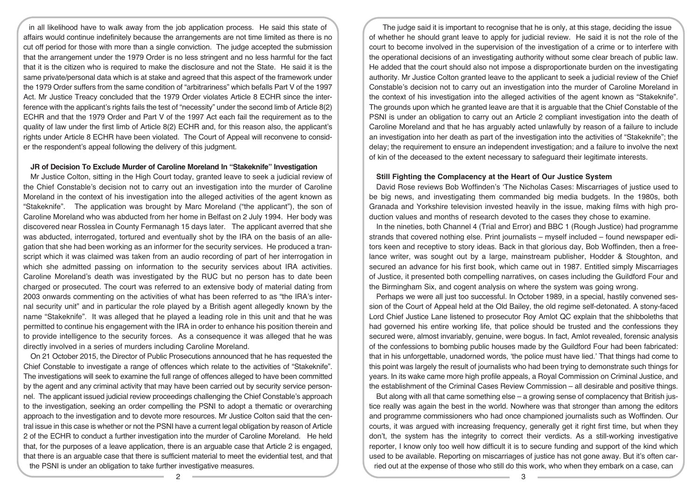in all likelihood have to walk away from the job application process. He said this state of affairs would continue indefinitely because the arrangements are not time limited as there is no cut off period for those with more than a single conviction. The judge accepted the submission that the arrangement under the 1979 Order is no less stringent and no less harmful for the fact that it is the citizen who is required to make the disclosure and not the State. He said it is the same private/personal data which is at stake and agreed that this aspect of the framework under the 1979 Order suffers from the same condition of "arbitrariness" which befalls Part V of the 1997 Act. Mr Justice Treacy concluded that the 1979 Order violates Article 8 ECHR since the interference with the applicant's rights fails the test of "necessity" under the second limb of Article 8(2) ECHR and that the 1979 Order and Part V of the 1997 Act each fail the requirement as to the quality of law under the first limb of Article 8(2) ECHR and, for this reason also, the applicant's rights under Article 8 ECHR have been violated. The Court of Appeal will reconvene to consider the respondent's appeal following the delivery of this judgment.

#### **JR of Decision To Exclude Murder of Caroline Moreland In "Stakeknife" Investigation**

Mr Justice Colton, sitting in the High Court today, granted leave to seek a judicial review of the Chief Constable's decision not to carry out an investigation into the murder of Caroline Moreland in the context of his investigation into the alleged activities of the agent known as "Stakeknife". The application was brought by Marc Moreland ("the applicant"), the son of Caroline Moreland who was abducted from her home in Belfast on 2 July 1994. Her body was discovered near Rosslea in County Fermanagh 15 days later. The applicant averred that she was abducted, interrogated, tortured and eventually shot by the IRA on the basis of an allegation that she had been working as an informer for the security services. He produced a transcript which it was claimed was taken from an audio recording of part of her interrogation in which she admitted passing on information to the security services about IRA activities. Caroline Moreland's death was investigated by the RUC but no person has to date been charged or prosecuted. The court was referred to an extensive body of material dating from 2003 onwards commenting on the activities of what has been referred to as "the IRA's internal security unit" and in particular the role played by a British agent allegedly known by the name "Stakeknife". It was alleged that he played a leading role in this unit and that he was permitted to continue his engagement with the IRA in order to enhance his position therein and to provide intelligence to the security forces. As a consequence it was alleged that he was directly involved in a series of murders including Caroline Moreland.

On 21 October 2015, the Director of Public Prosecutions announced that he has requested the Chief Constable to investigate a range of offences which relate to the activities of "Stakeknife". The investigations will seek to examine the full range of offences alleged to have been committed by the agent and any criminal activity that may have been carried out by security service personnel. The applicant issued judicial review proceedings challenging the Chief Constable's approach to the investigation, seeking an order compelling the PSNI to adopt a thematic or overarching approach to the investigation and to devote more resources. Mr Justice Colton said that the central issue in this case is whether or not the PSNI have a current legal obligation by reason of Article 2 of the ECHR to conduct a further investigation into the murder of Caroline Moreland. He held that, for the purposes of a leave application, there is an arguable case that Article 2 is engaged, that there is an arguable case that there is sufficient material to meet the evidential test, and that the PSNI is under an obligation to take further investigative measures.

The judge said it is important to recognise that he is only, at this stage, deciding the issue of whether he should grant leave to apply for judicial review. He said it is not the role of the court to become involved in the supervision of the investigation of a crime or to interfere with the operational decisions of an investigating authority without some clear breach of public law. He added that the court should also not impose a disproportionate burden on the investigating authority. Mr Justice Colton granted leave to the applicant to seek a judicial review of the Chief Constable's decision not to carry out an investigation into the murder of Caroline Moreland in the context of his investigation into the alleged activities of the agent known as "Stakeknife". The grounds upon which he granted leave are that it is arguable that the Chief Constable of the PSNI is under an obligation to carry out an Article 2 compliant investigation into the death of Caroline Moreland and that he has arguably acted unlawfully by reason of a failure to include an investigation into her death as part of the investigation into the activities of "Stakeknife"; the delay; the requirement to ensure an independent investigation; and a failure to involve the next of kin of the deceased to the extent necessary to safeguard their legitimate interests.

#### **Still Fighting the Complacency at the Heart of Our Justice System**

David Rose reviews Bob Woffinden's 'The Nicholas Cases: Miscarriages of justice used to be big news, and investigating them commanded big media budgets. In the 1980s, both Granada and Yorkshire television invested heavily in the issue, making films with high production values and months of research devoted to the cases they chose to examine.

In the nineties, both Channel 4 (Trial and Error) and BBC 1 (Rough Justice) had programme strands that covered nothing else. Print journalists – myself included – found newspaper editors keen and receptive to story ideas. Back in that glorious day, Bob Woffinden, then a freelance writer, was sought out by a large, mainstream publisher, Hodder & Stoughton, and secured an advance for his first book, which came out in 1987. Entitled simply Miscarriages of Justice, it presented both compelling narratives, on cases including the Guildford Four and the Birmingham Six, and cogent analysis on where the system was going wrong.

Perhaps we were all just too successful. In October 1989, in a special, hastily convened session of the Court of Appeal held at the Old Bailey, the old regime self-detonated. A stony-faced Lord Chief Justice Lane listened to prosecutor Roy Amlot QC explain that the shibboleths that had governed his entire working life, that police should be trusted and the confessions they secured were, almost invariably, genuine, were bogus. In fact, Amlot revealed, forensic analysis of the confessions to bombing public houses made by the Guildford Four had been fabricated: that in his unforgettable, unadorned words, 'the police must have lied.' That things had come to this point was largely the result of journalists who had been trying to demonstrate such things for years. In its wake came more high profile appeals, a Royal Commission on Criminal Justice, and the establishment of the Criminal Cases Review Commission – all desirable and positive things.

But along with all that came something  $else - a$  growing sense of complacency that British justice really was again the best in the world. Nowhere was that stronger than among the editors and programme commissioners who had once championed journalists such as Woffinden. Our courts, it was argued with increasing frequency, generally get it right first time, but when they don't, the system has the integrity to correct their verdicts. As a still-working investigative reporter, I know only too well how difficult it is to secure funding and support of the kind which used to be available. Reporting on miscarriages of justice has not gone away. But it's often carried out at the expense of those who still do this work, who when they embark on a case, can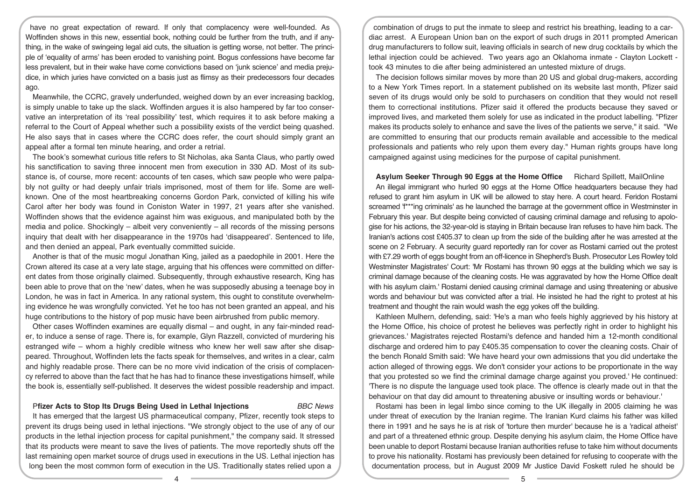have no great expectation of reward. If only that complacency were well-founded. As Woffinden shows in this new, essential book, nothing could be further from the truth, and if anything, in the wake of swingeing legal aid cuts, the situation is getting worse, not better. The principle of 'equality of arms' has been eroded to vanishing point. Bogus confessions have become far less prevalent, but in their wake have come convictions based on 'junk science' and media prejudice, in which juries have convicted on a basis just as flimsy as their predecessors four decades ago.

Meanwhile, the CCRC, gravely underfunded, weighed down by an ever increasing backlog, is simply unable to take up the slack. Woffinden argues it is also hampered by far too conservative an interpretation of its 'real possibility' test, which requires it to ask before making a referral to the Court of Appeal whether such a possibility exists of the verdict being quashed. He also says that in cases where the CCRC does refer, the court should simply grant an appeal after a formal ten minute hearing, and order a retrial.

The book's somewhat curious title refers to St Nicholas, aka Santa Claus, who partly owed his sanctification to saving three innocent men from execution in 330 AD. Most of its substance is, of course, more recent: accounts of ten cases, which saw people who were palpably not guilty or had deeply unfair trials imprisoned, most of them for life. Some are wellknown. One of the most heartbreaking concerns Gordon Park, convicted of killing his wife Carol after her body was found in Coniston Water in 1997, 21 years after she vanished. Woffinden shows that the evidence against him was exiguous, and manipulated both by the media and police. Shockingly – albeit very conveniently – all records of the missing persons inquiry that dealt with her disappearance in the 1970s had 'disappeared'. Sentenced to life, and then denied an appeal, Park eventually committed suicide.

Another is that of the music mogul Jonathan King, jailed as a paedophile in 2001. Here the Crown altered its case at a very late stage, arguing that his offences were committed on different dates from those originally claimed. Subsequently, through exhaustive research, King has been able to prove that on the 'new' dates, when he was supposedly abusing a teenage boy in London, he was in fact in America. In any rational system, this ought to constitute overwhelming evidence he was wrongfully convicted. Yet he too has not been granted an appeal, and his huge contributions to the history of pop music have been airbrushed from public memory.

Other cases Woffinden examines are equally dismal – and ought, in any fair-minded reader, to induce a sense of rage. There is, for example, Glyn Razzell, convicted of murdering his estranged wife – whom a highly credible witness who knew her well saw after she disappeared. Throughout, Woffinden lets the facts speak for themselves, and writes in a clear, calm and highly readable prose. There can be no more vivid indication of the crisis of complacency referred to above than the fact that he has had to finance these investigations himself, while the book is, essentially self-published. It deserves the widest possible readership and impact.

# P**fizer Acts to Stop Its Drugs Being Used in Lethal Injections** *BBC News*

It has emerged that the largest US pharmaceutical company, Pfizer, recently took steps to prevent its drugs being used in lethal injections. "We strongly object to the use of any of our products in the lethal injection process for capital punishment," the company said. It stressed that its products were meant to save the lives of patients. The move reportedly shuts off the last remaining open market source of drugs used in executions in the US. Lethal injection has long been the most common form of execution in the US. Traditionally states relied upon a

combination of drugs to put the inmate to sleep and restrict his breathing, leading to a cardiac arrest. A European Union ban on the export of such drugs in 2011 prompted American drug manufacturers to follow suit, leaving officials in search of new drug cocktails by which the lethal injection could be achieved. Two years ago an Oklahoma inmate - Clayton Lockett took 43 minutes to die after being administered an untested mixture of drugs.

The decision follows similar moves by more than 20 US and global drug-makers, according to a New York Times report. In a statement published on its website last month, Pfizer said seven of its drugs would only be sold to purchasers on condition that they would not resell them to correctional institutions. Pfizer said it offered the products because they saved or improved lives, and marketed them solely for use as indicated in the product labelling. "Pfizer makes its products solely to enhance and save the lives of the patients we serve," it said. "We are committed to ensuring that our products remain available and accessible to the medical professionals and patients who rely upon them every day." Human rights groups have long campaigned against using medicines for the purpose of capital punishment.

**Asylum Seeker Through 90 Eggs at the Home Office** Richard Spillett, MailOnline An illegal immigrant who hurled 90 eggs at the Home Office headquarters because they had refused to grant him asylum in UK will be allowed to stay here. A court heard. Feridon Rostami screamed 'f\*\*\*ing criminals' as he launched the barrage at the government office in Westminster in February this year. But despite being convicted of causing criminal damage and refusing to apologise for his actions, the 32-year-old is staying in Britain because Iran refuses to have him back. The Iranian's actions cost £405.37 to clean up from the side of the building after he was arrested at the scene on 2 February. A security guard reportedly ran for cover as Rostami carried out the protest with £7.29 worth of eggs bought from an off-licence in Shepherd's Bush. Prosecutor Les Rowley told Westminster Magistrates' Court: 'Mr Rostami has thrown 90 eggs at the building which we say is criminal damage because of the cleaning costs. He was aggravated by how the Home Office dealt with his asylum claim.' Rostami denied causing criminal damage and using threatening or abusive words and behaviour but was convicted after a trial. He insisted he had the right to protest at his treatment and thought the rain would wash the egg yokes off the building.

Kathleen Mulhern, defending, said: 'He's a man who feels highly aggrieved by his history at the Home Office, his choice of protest he believes was perfectly right in order to highlight his grievances.' Magistrates rejected Rostami's defence and handed him a 12-month conditional discharge and ordered him to pay £405.35 compensation to cover the cleaning costs. Chair of the bench Ronald Smith said: 'We have heard your own admissions that you did undertake the action alleged of throwing eggs. We don't consider your actions to be proportionate in the way that you protested so we find the criminal damage charge against you proved.' He continued: 'There is no dispute the language used took place. The offence is clearly made out in that the behaviour on that day did amount to threatening abusive or insulting words or behaviour.'

Rostami has been in legal limbo since coming to the UK illegally in 2005 claiming he was under threat of execution by the Iranian regime. The Iranian Kurd claims his father was killed there in 1991 and he says he is at risk of 'torture then murder' because he is a 'radical atheist' and part of a threatened ethnic group. Despite denying his asylum claim, the Home Office have been unable to deport Rostami because Iranian authorities refuse to take him without documents to prove his nationality. Rostami has previously been detained for refusing to cooperate with the documentation process, but in August 2009 Mr Justice David Foskett ruled he should be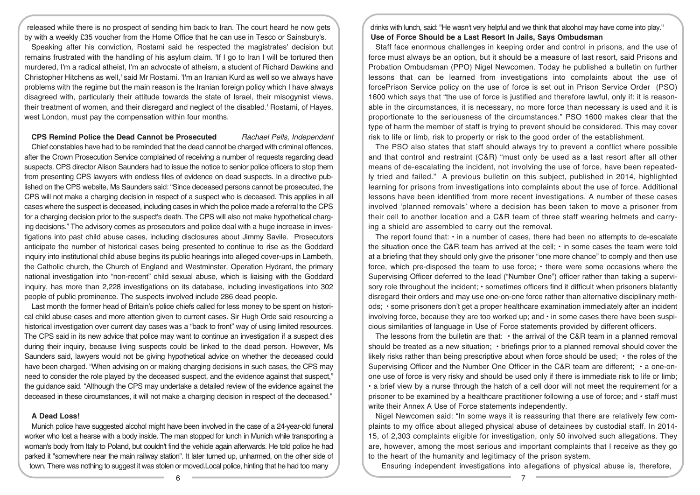released while there is no prospect of sending him back to Iran. The court heard he now gets by with a weekly £35 voucher from the Home Office that he can use in Tesco or Sainsbury's.

Speaking after his conviction, Rostami said he respected the magistrates' decision but remains frustrated with the handling of his asylum claim. 'If I go to Iran I will be tortured then murdered, I'm a radical atheist, I'm an advocate of atheism, a student of Richard Dawkins and Christopher Hitchens as well,' said Mr Rostami. 'I'm an Iranian Kurd as well so we always have problems with the regime but the main reason is the Iranian foreign policy which I have always disagreed with, particularly their attitude towards the state of Israel, their misogynist views, their treatment of women, and their disregard and neglect of the disabled.' Rostami, of Hayes, west London, must pay the compensation within four months.

# **CPS Remind Police the Dead Cannot be Prosecuted** *Rachael Pells, Independent*

Chief constables have had to be reminded that the dead cannot be charged with criminal offences, after the Crown Prosecution Service complained of receiving a number of requests regarding dead suspects. CPS director Alison Saunders had to issue the notice to senior police officers to stop them from presenting CPS lawyers with endless files of evidence on dead suspects. In a directive published on the CPS website, Ms Saunders said: "Since deceased persons cannot be prosecuted, the CPS will not make a charging decision in respect of a suspect who is deceased. This applies in all cases where the suspect is deceased, including cases in which the police made a referral to the CPS for a charging decision prior to the suspect's death. The CPS will also not make hypothetical charging decisions." The advisory comes as prosecutors and police deal with a huge increase in investigations into past child abuse cases, including disclosures about Jimmy Savile. Prosecutors anticipate the number of historical cases being presented to continue to rise as the Goddard inquiry into institutional child abuse begins its public hearings into alleged cover-ups in Lambeth, the Catholic church, the Church of England and Westminster. Operation Hydrant, the primary national investigation into "non-recent" child sexual abuse, which is liaising with the Goddard inquiry, has more than 2,228 investigations on its database, including investigations into 302 people of public prominence. The suspects involved include 286 dead people.

Last month the former head of Britain's police chiefs called for less money to be spent on historical child abuse cases and more attention given to current cases. Sir Hugh Orde said resourcing a historical investigation over current day cases was a "back to front" way of using limited resources. The CPS said in its new advice that police may want to continue an investigation if a suspect dies during their inquiry, because living suspects could be linked to the dead person. However, Ms Saunders said, lawyers would not be giving hypothetical advice on whether the deceased could have been charged. "When advising on or making charging decisions in such cases, the CPS may need to consider the role played by the deceased suspect, and the evidence against that suspect," the guidance said. "Although the CPS may undertake a detailed review of the evidence against the deceased in these circumstances, it will not make a charging decision in respect of the deceased."

# **A Dead Loss!**

Munich police have suggested alcohol might have been involved in the case of a 24-year-old funeral worker who lost a hearse with a body inside. The man stopped for lunch in Munich while transporting a woman's body from Italy to Poland, but couldn't find the vehicle again afterwards. He told police he had parked it "somewhere near the main railway station". It later turned up, unharmed, on the other side of town. There was nothing to suggest it was stolen or moved. Local police, hinting that he had too many

drinks with lunch, said: "He wasn't very helpful and we think that alcohol may have come into play." **Use of Force Should be a Last Resort In Jails, Says Ombudsman**

Staff face enormous challenges in keeping order and control in prisons, and the use of force must always be an option, but it should be a measure of last resort, said Prisons and Probation Ombudsman (PPO) Nigel Newcomen. Today he published a bulletin on further lessons that can be learned from investigations into complaints about the use of forcePrison Service policy on the use of force is set out in Prison Service Order (PSO) 1600 which says that "the use of force is justified and therefore lawful, only if: it is reasonable in the circumstances, it is necessary, no more force than necessary is used and it is proportionate to the seriousness of the circumstances." PSO 1600 makes clear that the type of harm the member of staff is trying to prevent should be considered. This may cover risk to life or limb, risk to property or risk to the good order of the establishment.

The PSO also states that staff should always try to prevent a conflict where possible and that control and restraint (C&R) "must only be used as a last resort after all other means of de-escalating the incident, not involving the use of force, have been repeatedly tried and failed." A previous bulletin on this subject, published in 2014, highlighted learning for prisons from investigations into complaints about the use of force. Additional lessons have been identified from more recent investigations. A number of these cases involved 'planned removals' where a decision has been taken to move a prisoner from their cell to another location and a C&R team of three staff wearing helmets and carrying a shield are assembled to carry out the removal.

The report found that: • in a number of cases, there had been no attempts to de-escalate the situation once the C&R team has arrived at the cell; • in some cases the team were told at a briefing that they should only give the prisoner "one more chance" to comply and then use force, which pre-disposed the team to use force; • there were some occasions where the Supervising Officer deferred to the lead ("Number One") officer rather than taking a supervisory role throughout the incident;  $\cdot$  sometimes officers find it difficult when prisoners blatantly disregard their orders and may use one-on-one force rather than alternative disciplinary methods; • some prisoners don't get a proper healthcare examination immediately after an incident involving force, because they are too worked up; and • in some cases there have been suspicious similarities of language in Use of Force statements provided by different officers.

The lessons from the bulletin are that:  $\cdot$  the arrival of the C&R team in a planned removal should be treated as a new situation; • briefings prior to a planned removal should cover the likely risks rather than being prescriptive about when force should be used; • the roles of the Supervising Officer and the Number One Officer in the C&R team are different; • a one-onone use of force is very risky and should be used only if there is immediate risk to life or limb; • a brief view by a nurse through the hatch of a cell door will not meet the requirement for a prisoner to be examined by a healthcare practitioner following a use of force; and • staff must write their Annex A Use of Force statements independently.

Nigel Newcomen said: "In some ways it is reassuring that there are relatively few complaints to my office about alleged physical abuse of detainees by custodial staff. In 2014- 15, of 2,303 complaints eligible for investigation, only 50 involved such allegations. They are, however, among the most serious and important complaints that I receive as they go to the heart of the humanity and legitimacy of the prison system.

Ensuring independent investigations into allegations of physical abuse is, therefore,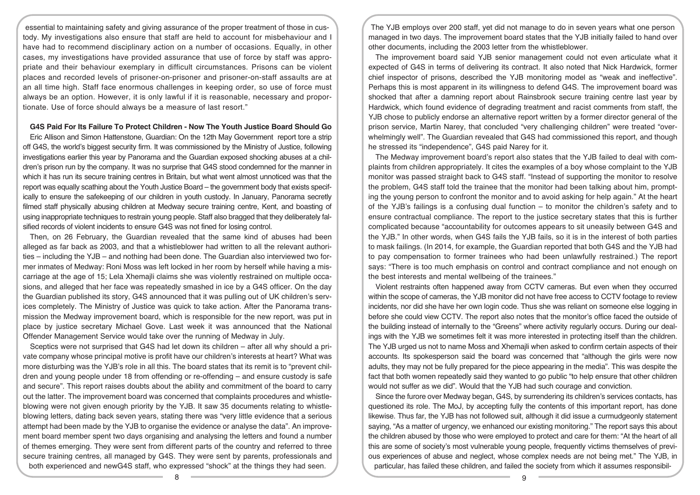essential to maintaining safety and giving assurance of the proper treatment of those in custody. My investigations also ensure that staff are held to account for misbehaviour and I have had to recommend disciplinary action on a number of occasions. Equally, in other cases, my investigations have provided assurance that use of force by staff was appropriate and their behaviour exemplary in difficult circumstances. Prisons can be violent places and recorded levels of prisoner-on-prisoner and prisoner-on-staff assaults are at an all time high. Staff face enormous challenges in keeping order, so use of force must always be an option. However, it is only lawful if it is reasonable, necessary and proportionate. Use of force should always be a measure of last resort."

# **G4S Paid For Its Failure To Protect Children - Now The Youth Justice Board Should Go**

Eric Allison and Simon Hattenstone, Guardian: On the 12th May Government report tore a strip off G4S, the world's biggest security firm. It was commissioned by the Ministry of Justice, following investigations earlier this year by Panorama and the Guardian exposed shocking abuses at a children's prison run by the company. It was no surprise that G4S stood condemned for the manner in which it has run its secure training centres in Britain, but what went almost unnoticed was that the report was equally scathing about the Youth Justice Board – the government body that exists specifically to ensure the safekeeping of our children in youth custody. In January, Panorama secretly filmed staff physically abusing children at Medway secure training centre, Kent, and boasting of using inappropriate techniques to restrain young people. Staff also bragged that they deliberately falsified records of violent incidents to ensure G4S was not fined for losing control.

Then, on 26 February, the Guardian revealed that the same kind of abuses had been alleged as far back as 2003, and that a whistleblower had written to all the relevant authorities – including the YJB – and nothing had been done. The Guardian also interviewed two former inmates of Medway: Roni Moss was left locked in her room by herself while having a miscarriage at the age of 15; Lela Xhemajli claims she was violently restrained on multiple occasions, and alleged that her face was repeatedly smashed in ice by a G4S officer. On the day the Guardian published its story, G4S announced that it was pulling out of UK children's services completely. The Ministry of Justice was quick to take action. After the Panorama transmission the Medway improvement board, which is responsible for the new report, was put in place by justice secretary Michael Gove. Last week it was announced that the National Offender Management Service would take over the running of Medway in July.

Sceptics were not surprised that G4S had let down its children – after all why should a private company whose principal motive is profit have our children's interests at heart? What was more disturbing was the YJB's role in all this. The board states that its remit is to "prevent children and young people under 18 from offending or re-offending – and ensure custody is safe and secure". This report raises doubts about the ability and commitment of the board to carry out the latter. The improvement board was concerned that complaints procedures and whistleblowing were not given enough priority by the YJB. It saw 35 documents relating to whistleblowing letters, dating back seven years, stating there was "very little evidence that a serious attempt had been made by the YJB to organise the evidence or analyse the data". An improvement board member spent two days organising and analysing the letters and found a number of themes emerging. They were sent from different parts of the country and referred to three secure training centres, all managed by G4S. They were sent by parents, professionals and both experienced and newG4S staff, who expressed "shock" at the things they had seen.

The YJB employs over 200 staff, yet did not manage to do in seven years what one person managed in two days. The improvement board states that the YJB initially failed to hand over other documents, including the 2003 letter from the whistleblower.

The improvement board said YJB senior management could not even articulate what it expected of G4S in terms of delivering its contract. It also noted that Nick Hardwick, former chief inspector of prisons, described the YJB monitoring model as "weak and ineffective". Perhaps this is most apparent in its willingness to defend G4S. The improvement board was shocked that after a damning report about Rainsbrook secure training centre last year by Hardwick, which found evidence of degrading treatment and racist comments from staff, the YJB chose to publicly endorse an alternative report written by a former director general of the prison service, Martin Narey, that concluded "very challenging children" were treated "overwhelmingly well". The Guardian revealed that G4S had commissioned this report, and though he stressed its "independence", G4S paid Narey for it.

The Medway improvement board's report also states that the YJB failed to deal with complaints from children appropriately. It cites the examples of a boy whose complaint to the YJB monitor was passed straight back to G4S staff. "Instead of supporting the monitor to resolve the problem, G4S staff told the trainee that the monitor had been talking about him, prompting the young person to confront the monitor and to avoid asking for help again." At the heart of the YJB's failings is a confusing dual function  $-$  to monitor the children's safety and to ensure contractual compliance. The report to the justice secretary states that this is further complicated because "accountability for outcomes appears to sit uneasily between G4S and the YJB." In other words, when G4S fails the YJB fails, so it is in the interest of both parties to mask failings. (In 2014, for example, the Guardian reported that both G4S and the YJB had to pay compensation to former trainees who had been unlawfully restrained.) The report says: "There is too much emphasis on control and contract compliance and not enough on the best interests and mental wellbeing of the trainees."

Violent restraints often happened away from CCTV cameras. But even when they occurred within the scope of cameras, the YJB monitor did not have free access to CCTV footage to review incidents, nor did she have her own login code. Thus she was reliant on someone else logging in before she could view CCTV. The report also notes that the monitor's office faced the outside of the building instead of internally to the "Greens" where activity regularly occurs. During our dealings with the YJB we sometimes felt it was more interested in protecting itself than the children. The YJB urged us not to name Moss and Xhemajli when asked to confirm certain aspects of their accounts. Its spokesperson said the board was concerned that "although the girls were now adults, they may not be fully prepared for the piece appearing in the media". This was despite the fact that both women repeatedly said they wanted to go public "to help ensure that other children would not suffer as we did". Would that the YJB had such courage and conviction.

Since the furore over Medway began, G4S, by surrendering its children's services contacts, has questioned its role. The MoJ, by accepting fully the contents of this important report, has done likewise. Thus far, the YJB has not followed suit, although it did issue a curmudgeonly statement saying, "As a matter of urgency, we enhanced our existing monitoring." The report says this about the children abused by those who were employed to protect and care for them: "At the heart of all this are some of society's most vulnerable young people, frequently victims themselves of previous experiences of abuse and neglect, whose complex needs are not being met." The YJB, in particular, has failed these children, and failed the society from which it assumes responsibil-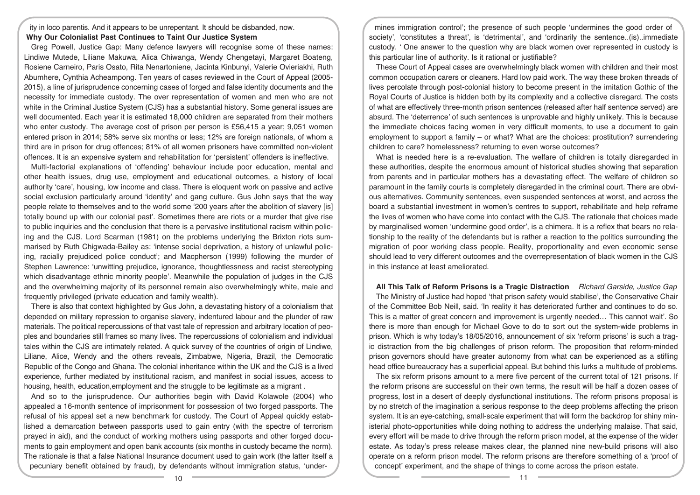# ity in loco parentis. And it appears to be unrepentant. It should be disbanded, now. **Why Our Colonialist Past Continues to Taint Our Justice System**

Greg Powell, Justice Gap: Many defence lawyers will recognise some of these names: Lindiwe Mutede, Liliane Makuwa, Alica Chiwanga, Wendy Chengetayi, Margaret Boateng, Rosiene Carneiro, Paris Osato, Rita Nenartoniene, Jacinta Kinbunyi, Valerie Ovieriakhi, Ruth Abumhere, Cynthia Acheampong. Ten years of cases reviewed in the Court of Appeal (2005- 2015), a line of jurisprudence concerning cases of forged and false identity documents and the necessity for immediate custody. The over representation of women and men who are not white in the Criminal Justice System (CJS) has a substantial history. Some general issues are well documented. Each year it is estimated 18,000 children are separated from their mothers who enter custody. The average cost of prison per person is £56,415 a year; 9,051 women entered prison in 2014; 58% serve six months or less; 12% are foreign nationals, of whom a third are in prison for drug offences; 81% of all women prisoners have committed non-violent offences. It is an expensive system and rehabilitation for 'persistent' offenders is ineffective.

Multi-factorial explanations of 'offending' behaviour include poor education, mental and other health issues, drug use, employment and educational outcomes, a history of local authority 'care', housing, low income and class. There is eloquent work on passive and active social exclusion particularly around 'identity' and gang culture. Gus John says that the way people relate to themselves and to the world some '200 years after the abolition of slavery [is] totally bound up with our colonial past'. Sometimes there are riots or a murder that give rise to public inquiries and the conclusion that there is a pervasive institutional racism within policing and the CJS. Lord Scarman (1981) on the problems underlying the Brixton riots summarised by Ruth Chigwada-Bailey as: 'intense social deprivation, a history of unlawful policing, racially prejudiced police conduct'; and Macpherson (1999) following the murder of Stephen Lawrence: 'unwitting prejudice, ignorance, thoughtlessness and racist stereotyping which disadvantage ethnic minority people'. Meanwhile the population of judges in the CJS and the overwhelming majority of its personnel remain also overwhelmingly white, male and frequently privileged (private education and family wealth).

There is also that context highlighted by Gus John, a devastating history of a colonialism that depended on military repression to organise slavery, indentured labour and the plunder of raw materials. The political repercussions of that vast tale of repression and arbitrary location of peoples and boundaries still frames so many lives. The repercussions of colonialism and individual tales within the CJS are intimately related. A quick survey of the countries of origin of Lindiwe, Liliane, Alice, Wendy and the others reveals, Zimbabwe, Nigeria, Brazil, the Democratic Republic of the Congo and Ghana. The colonial inheritance within the UK and the CJS is a lived experience, further mediated by institutional racism, and manifest in social issues, access to housing, health, education,employment and the struggle to be legitimate as a migrant .

And so to the jurisprudence. Our authorities begin with David Kolawole (2004) who appealed a 16-month sentence of imprisonment for possession of two forged passports. The refusal of his appeal set a new benchmark for custody. The Court of Appeal quickly established a demarcation between passports used to gain entry (with the spectre of terrorism prayed in aid), and the conduct of working mothers using passports and other forged documents to gain employment and open bank accounts (six months in custody became the norm). The rationale is that a false National Insurance document used to gain work (the latter itself a pecuniary benefit obtained by fraud), by defendants without immigration status, 'under-

mines immigration control'; the presence of such people 'undermines the good order of society', 'constitutes a threat', is 'detrimental', and 'ordinarily the sentence..(is)..immediate custody. ' One answer to the question why are black women over represented in custody is this particular line of authority. Is it rational or justifiable?

These Court of Appeal cases are overwhelmingly black women with children and their most common occupation carers or cleaners. Hard low paid work. The way these broken threads of lives percolate through post-colonial history to become present in the imitation Gothic of the Royal Courts of Justice is hidden both by its complexity and a collective disregard. The costs of what are effectively three-month prison sentences (released after half sentence served) are absurd. The 'deterrence' of such sentences is unprovable and highly unlikely. This is because the immediate choices facing women in very difficult moments, to use a document to gain employment to support a family – or what? What are the choices: prostitution? surrendering children to care? homelessness? returning to even worse outcomes?

What is needed here is a re-evaluation. The welfare of children is totally disregarded in these authorities, despite the enormous amount of historical studies showing that separation from parents and in particular mothers has a devastating effect. The welfare of children so paramount in the family courts is completely disregarded in the criminal court. There are obvious alternatives. Community sentences, even suspended sentences at worst, and across the board a substantial investment in women's centres to support, rehabilitate and help reframe the lives of women who have come into contact with the CJS. The rationale that choices made by marginalised women 'undermine good order', is a chimera. It is a reflex that bears no relationship to the reality of the defendants but is rather a reaction to the politics surrounding the migration of poor working class people. Reality, proportionality and even economic sense should lead to very different outcomes and the overrepresentation of black women in the CJS in this instance at least ameliorated.

**All This Talk of Reform Prisons is a Tragic Distraction** *Richard Garside, Justice Gap* The Ministry of Justice had hoped 'that prison safety would stabilise', the Conservative Chair of the Committee Bob Neill, said. 'In reality it has deteriorated further and continues to do so. This is a matter of great concern and improvement is urgently needed… This cannot wait'. So there is more than enough for Michael Gove to do to sort out the system-wide problems in prison. Which is why today's 18/05/2016, announcement of six 'reform prisons' is such a tragic distraction from the big challenges of prison reform. The proposition that reform-minded prison governors should have greater autonomy from what can be experienced as a stifling head office bureaucracy has a superficial appeal. But behind this lurks a multitude of problems.

The six reform prisons amount to a mere five percent of the current total of 121 prisons. If the reform prisons are successful on their own terms, the result will be half a dozen oases of progress, lost in a desert of deeply dysfunctional institutions. The reform prisons proposal is by no stretch of the imagination a serious response to the deep problems affecting the prison system. It is an eye-catching, small-scale experiment that will form the backdrop for shiny ministerial photo-opportunities while doing nothing to address the underlying malaise. That said, every effort will be made to drive through the reform prison model, at the expense of the wider estate. As today's press release makes clear, the planned nine new-build prisons will also operate on a reform prison model. The reform prisons are therefore something of a 'proof of concept' experiment, and the shape of things to come across the prison estate.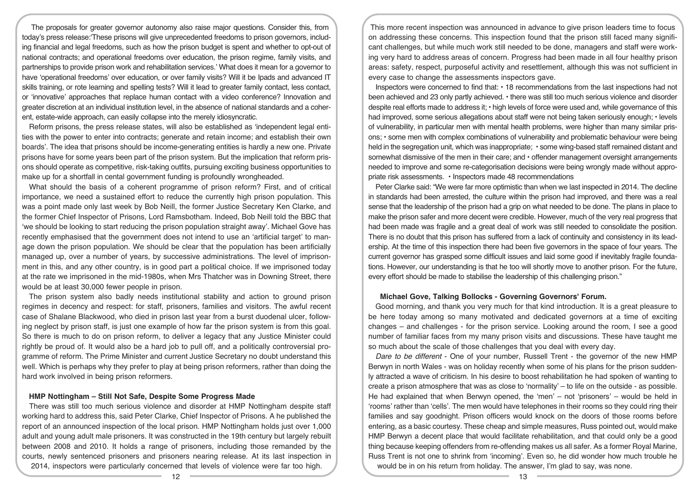The proposals for greater governor autonomy also raise major questions. Consider this, from today's press release:'These prisons will give unprecedented freedoms to prison governors, including financial and legal freedoms, such as how the prison budget is spent and whether to opt-out of national contracts; and operational freedoms over education, the prison regime, family visits, and partnerships to provide prison work and rehabilitation services.' What does it mean for a governor to have 'operational freedoms' over education, or over family visits? Will it be Ipads and advanced IT skills training, or rote learning and spelling tests? Will it lead to greater family contact, less contact, or 'innovative' approaches that replace human contact with a video conference? Innovation and greater discretion at an individual institution level, in the absence of national standards and a coherent, estate-wide approach, can easily collapse into the merely idiosyncratic.

Reform prisons, the press release states, will also be established as 'independent legal entities with the power to enter into contracts; generate and retain income; and establish their own boards'. The idea that prisons should be income-generating entities is hardly a new one. Private prisons have for some years been part of the prison system. But the implication that reform prisons should operate as competitive, risk-taking outfits, pursuing exciting business opportunities to make up for a shortfall in cental government funding is profoundly wrongheaded.

What should the basis of a coherent programme of prison reform? First, and of critical importance, we need a sustained effort to reduce the currently high prison population. This was a point made only last week by Bob Neill, the former Justice Secretary Ken Clarke, and the former Chief Inspector of Prisons, Lord Ramsbotham. Indeed, Bob Neill told the BBC that 'we should be looking to start reducing the prison population straight away'. Michael Gove has recently emphasised that the government does not intend to use an 'artificial target' to manage down the prison population. We should be clear that the population has been artificially managed up, over a number of years, by successive administrations. The level of imprisonment in this, and any other country, is in good part a political choice. If we imprisoned today at the rate we imprisoned in the mid-1980s, when Mrs Thatcher was in Downing Street, there would be at least 30,000 fewer people in prison.

The prison system also badly needs institutional stability and action to ground prison regimes in decency and respect: for staff, prisoners, families and visitors. The awful recent case of Shalane Blackwood, who died in prison last year from a burst duodenal ulcer, following neglect by prison staff, is just one example of how far the prison system is from this goal. So there is much to do on prison reform, to deliver a legacy that any Justice Minister could rightly be proud of. It would also be a hard job to pull off, and a politically controversial programme of reform. The Prime Minister and current Justice Secretary no doubt understand this well. Which is perhaps why they prefer to play at being prison reformers, rather than doing the hard work involved in being prison reformers.

# **HMP Nottingham – Still Not Safe, Despite Some Progress Made**

There was still too much serious violence and disorder at HMP Nottingham despite staff working hard to address this, said Peter Clarke, Chief Inspector of Prisons. A he published the report of an announced inspection of the local prison. HMP Nottingham holds just over 1,000 adult and young adult male prisoners. It was constructed in the 19th century but largely rebuilt between 2008 and 2010. It holds a range of prisoners, including those remanded by the courts, newly sentenced prisoners and prisoners nearing release. At its last inspection in 2014, inspectors were particularly concerned that levels of violence were far too high.

This more recent inspection was announced in advance to give prison leaders time to focus on addressing these concerns. This inspection found that the prison still faced many significant challenges, but while much work still needed to be done, managers and staff were working very hard to address areas of concern. Progress had been made in all four healthy prison areas: safety, respect, purposeful activity and resettlement, although this was not sufficient in every case to change the assessments inspectors gave.

Inspectors were concerned to find that: • 18 recommendations from the last inspections had not been achieved and 23 only partly achieved. • there was still too much serious violence and disorder despite real efforts made to address it; • high levels of force were used and, while governance of this had improved, some serious allegations about staff were not being taken seriously enough; • levels of vulnerability, in particular men with mental health problems, were higher than many similar prisons; • some men with complex combinations of vulnerability and problematic behaviour were being held in the segregation unit, which was inappropriate;  $\cdot$  some wing-based staff remained distant and somewhat dismissive of the men in their care; and  $\cdot$  offender management oversight arrangements needed to improve and some re-categorisation decisions were being wrongly made without appropriate risk assessments. • Inspectors made 48 recommendations

Peter Clarke said: "We were far more optimistic than when we last inspected in 2014. The decline in standards had been arrested, the culture within the prison had improved, and there was a real sense that the leadership of the prison had a grip on what needed to be done. The plans in place to make the prison safer and more decent were credible. However, much of the very real progress that had been made was fragile and a great deal of work was still needed to consolidate the position. There is no doubt that this prison has suffered from a lack of continuity and consistency in its leadership. At the time of this inspection there had been five governors in the space of four years. The current governor has grasped some difficult issues and laid some good if inevitably fragile foundations. However, our understanding is that he too will shortly move to another prison. For the future, every effort should be made to stabilise the leadership of this challenging prison."

#### **Michael Gove, Talking Bollocks - Governing Governors' Forum.**

Good morning, and thank you very much for that kind introduction. It is a great pleasure to be here today among so many motivated and dedicated governors at a time of exciting changes – and challenges - for the prison service. Looking around the room, I see a good number of familiar faces from my many prison visits and discussions. These have taught me so much about the scale of those challenges that you deal with every day.

*Dare to be different* - One of your number, Russell Trent - the governor of the new HMP Berwyn in north Wales - was on holiday recently when some of his plans for the prison suddenly attracted a wave of criticism. In his desire to boost rehabilitation he had spoken of wanting to create a prison atmosphere that was as close to 'normality' – to life on the outside - as possible. He had explained that when Berwyn opened, the 'men' – not 'prisoners' – would be held in 'rooms' rather than 'cells'. The men would have telephones in their rooms so they could ring their families and say goodnight. Prison officers would knock on the doors of those rooms before entering, as a basic courtesy. These cheap and simple measures, Russ pointed out, would make HMP Berwyn a decent place that would facilitate rehabilitation, and that could only be a good thing because keeping offenders from re-offending makes us all safer. As a former Royal Marine, Russ Trent is not one to shrink from 'incoming'. Even so, he did wonder how much trouble he would be in on his return from holiday. The answer, I'm glad to say, was none.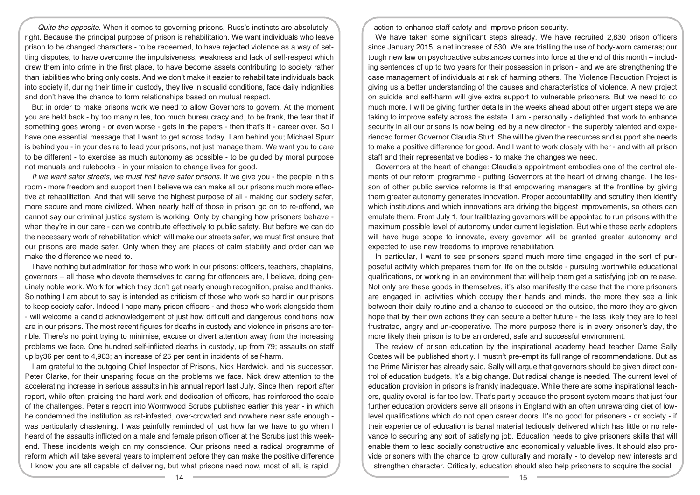*Quite the opposite.* When it comes to governing prisons, Russ's instincts are absolutely right. Because the principal purpose of prison is rehabilitation. We want individuals who leave prison to be changed characters - to be redeemed, to have rejected violence as a way of settling disputes, to have overcome the impulsiveness, weakness and lack of self-respect which drew them into crime in the first place, to have become assets contributing to society rather than liabilities who bring only costs. And we don't make it easier to rehabilitate individuals back into society if, during their time in custody, they live in squalid conditions, face daily indignities and don't have the chance to form relationships based on mutual respect.

But in order to make prisons work we need to allow Governors to govern. At the moment you are held back - by too many rules, too much bureaucracy and, to be frank, the fear that if something goes wrong - or even worse - gets in the papers - then that's it - career over. So I have one essential message that I want to get across today. I am behind you; Michael Spurr is behind you - in your desire to lead your prisons, not just manage them. We want you to dare to be different - to exercise as much autonomy as possible - to be guided by moral purpose not manuals and rulebooks - in your mission to change lives for good.

*If we want safer streets, we must first have safer prisons.* If we give you - the people in this room - more freedom and support then I believe we can make all our prisons much more effective at rehabilitation. And that will serve the highest purpose of all - making our society safer, more secure and more civilized. When nearly half of those in prison go on to re-offend, we cannot say our criminal justice system is working. Only by changing how prisoners behave when they're in our care - can we contribute effectively to public safety. But before we can do the necessary work of rehabilitation which will make our streets safer, we must first ensure that our prisons are made safer. Only when they are places of calm stability and order can we make the difference we need to.

I have nothing but admiration for those who work in our prisons: officers, teachers, chaplains, governors – all those who devote themselves to caring for offenders are, I believe, doing genuinely noble work. Work for which they don't get nearly enough recognition, praise and thanks. So nothing I am about to say is intended as criticism of those who work so hard in our prisons to keep society safer. Indeed I hope many prison officers - and those who work alongside them - will welcome a candid acknowledgement of just how difficult and dangerous conditions now are in our prisons. The most recent figures for deaths in custody and violence in prisons are terrible. There's no point trying to minimise, excuse or divert attention away from the increasing problems we face. One hundred self-inflicted deaths in custody, up from 79; assaults on staff up by36 per cent to 4,963; an increase of 25 per cent in incidents of self-harm.

I am grateful to the outgoing Chief Inspector of Prisons, Nick Hardwick, and his successor, Peter Clarke, for their unsparing focus on the problems we face. Nick drew attention to the accelerating increase in serious assaults in his annual report last July. Since then, report after report, while often praising the hard work and dedication of officers, has reinforced the scale of the challenges. Peter's report into Wormwood Scrubs published earlier this year - in which he condemned the institution as rat-infested, over-crowded and nowhere near safe enough was particularly chastening. I was painfully reminded of just how far we have to go when I heard of the assaults inflicted on a male and female prison officer at the Scrubs just this weekend. These incidents weigh on my conscience. Our prisons need a radical programme of reform which will take several years to implement before they can make the positive difference I know you are all capable of delivering, but what prisons need now, most of all, is rapid

action to enhance staff safety and improve prison security.

We have taken some significant steps already. We have recruited 2,830 prison officers since January 2015, a net increase of 530. We are trialling the use of body-worn cameras; our tough new law on psychoactive substances comes into force at the end of this month – including sentences of up to two years for their possession in prison - and we are strengthening the case management of individuals at risk of harming others. The Violence Reduction Project is giving us a better understanding of the causes and characteristics of violence. A new project on suicide and self-harm will give extra support to vulnerable prisoners. But we need to do much more. I will be giving further details in the weeks ahead about other urgent steps we are taking to improve safety across the estate. I am - personally - delighted that work to enhance security in all our prisons is now being led by a new director - the superbly talented and experienced former Governor Claudia Sturt. She will be given the resources and support she needs to make a positive difference for good. And I want to work closely with her - and with all prison staff and their representative bodies - to make the changes we need.

Governors at the heart of change: Claudia's appointment embodies one of the central elements of our reform programme - putting Governors at the heart of driving change. The lesson of other public service reforms is that empowering managers at the frontline by giving them greater autonomy generates innovation. Proper accountability and scrutiny then identify which institutions and which innovations are driving the biggest improvements, so others can emulate them. From July 1, four trailblazing governors will be appointed to run prisons with the maximum possible level of autonomy under current legislation. But while these early adopters will have huge scope to innovate, every governor will be granted greater autonomy and expected to use new freedoms to improve rehabilitation.

In particular, I want to see prisoners spend much more time engaged in the sort of purposeful activity which prepares them for life on the outside - pursuing worthwhile educational qualifications, or working in an environment that will help them get a satisfying job on release. Not only are these goods in themselves, it's also manifestly the case that the more prisoners are engaged in activities which occupy their hands and minds, the more they see a link between their daily routine and a chance to succeed on the outside, the more they are given hope that by their own actions they can secure a better future - the less likely they are to feel frustrated, angry and un-cooperative. The more purpose there is in every prisoner's day, the more likely their prison is to be an ordered, safe and successful environment.

The review of prison education by the inspirational academy head teacher Dame Sally Coates will be published shortly. I mustn't pre-empt its full range of recommendations. But as the Prime Minister has already said, Sally will argue that governors should be given direct control of education budgets. It's a big change. But radical change is needed. The current level of education provision in prisons is frankly inadequate. While there are some inspirational teachers, quality overall is far too low. That's partly because the present system means that just four further education providers serve all prisons in England with an often unrewarding diet of lowlevel qualifications which do not open career doors. It's no good for prisoners - or society - if their experience of education is banal material tediously delivered which has little or no relevance to securing any sort of satisfying job. Education needs to give prisoners skills that will enable them to lead socially constructive and economically valuable lives. It should also provide prisoners with the chance to grow culturally and morally - to develop new interests and strengthen character. Critically, education should also help prisoners to acquire the social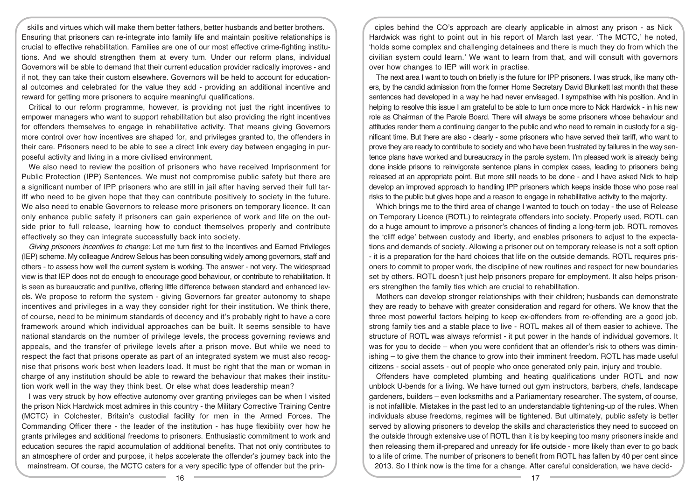skills and virtues which will make them better fathers, better husbands and better brothers. Ensuring that prisoners can re-integrate into family life and maintain positive relationships is crucial to effective rehabilitation. Families are one of our most effective crime-fighting institutions. And we should strengthen them at every turn. Under our reform plans, individual Governors will be able to demand that their current education provider radically improves - and if not, they can take their custom elsewhere. Governors will be held to account for educational outcomes and celebrated for the value they add - providing an additional incentive and reward for getting more prisoners to acquire meaningful qualifications.

Critical to our reform programme, however, is providing not just the right incentives to empower managers who want to support rehabilitation but also providing the right incentives for offenders themselves to engage in rehabilitative activity. That means giving Governors more control over how incentives are shaped for, and privileges granted to, the offenders in their care. Prisoners need to be able to see a direct link every day between engaging in purposeful activity and living in a more civilised environment.

We also need to review the position of prisoners who have received Imprisonment for Public Protection (IPP) Sentences. We must not compromise public safety but there are a significant number of IPP prisoners who are still in jail after having served their full tariff who need to be given hope that they can contribute positively to society in the future. We also need to enable Governors to release more prisoners on temporary licence. It can only enhance public safety if prisoners can gain experience of work and life on the outside prior to full release, learning how to conduct themselves properly and contribute effectively so they can integrate successfully back into society.

*Giving prisoners incentives to change:* Let me turn first to the Incentives and Earned Privileges (IEP) scheme. My colleague Andrew Selous has been consulting widely among governors, staff and others - to assess how well the current system is working. The answer - not very. The widespread view is that IEP does not do enough to encourage good behaviour, or contribute to rehabilitation. It is seen as bureaucratic and punitive, offering little difference between standard and enhanced levels. We propose to reform the system - giving Governors far greater autonomy to shape incentives and privileges in a way they consider right for their institution. We think there, of course, need to be minimum standards of decency and it's probably right to have a core framework around which individual approaches can be built. It seems sensible to have national standards on the number of privilege levels, the process governing reviews and appeals, and the transfer of privilege levels after a prison move. But while we need to respect the fact that prisons operate as part of an integrated system we must also recognise that prisons work best when leaders lead. It must be right that the man or woman in charge of any institution should be able to reward the behaviour that makes their institution work well in the way they think best. Or else what does leadership mean?

I was very struck by how effective autonomy over granting privileges can be when I visited the prison Nick Hardwick most admires in this country - the Military Corrective Training Centre (MCTC) in Colchester, Britain's custodial facility for men in the Armed Forces. The Commanding Officer there - the leader of the institution - has huge flexibility over how he grants privileges and additional freedoms to prisoners. Enthusiastic commitment to work and education secures the rapid accumulation of additional benefits. That not only contributes to an atmosphere of order and purpose, it helps accelerate the offender's journey back into the mainstream. Of course, the MCTC caters for a very specific type of offender but the prin-

ciples behind the CO's approach are clearly applicable in almost any prison - as Nick Hardwick was right to point out in his report of March last year. 'The MCTC,' he noted, 'holds some complex and challenging detainees and there is much they do from which the civilian system could learn.' We want to learn from that, and will consult with governors over how changes to IEP will work in practise.

The next area I want to touch on briefly is the future for IPP prisoners. I was struck, like many others, by the candid admission from the former Home Secretary David Blunkett last month that these sentences had developed in a way he had never envisaged. I sympathise with his position. And in helping to resolve this issue I am grateful to be able to turn once more to Nick Hardwick - in his new role as Chairman of the Parole Board. There will always be some prisoners whose behaviour and attitudes render them a continuing danger to the public and who need to remain in custody for a significant time. But there are also - clearly - some prisoners who have served their tariff, who want to prove they are ready to contribute to society and who have been frustrated by failures in the way sentence plans have worked and bureaucracy in the parole system. I'm pleased work is already being done inside prisons to reinvigorate sentence plans in complex cases, leading to prisoners being released at an appropriate point. But more still needs to be done - and I have asked Nick to help develop an improved approach to handling IPP prisoners which keeps inside those who pose real risks to the public but gives hope and a reason to engage in rehabilitative activity to the majority.

Which brings me to the third area of change I wanted to touch on today - the use of Release on Temporary Licence (ROTL) to reintegrate offenders into society. Properly used, ROTL can do a huge amount to improve a prisoner's chances of finding a long-term job. ROTL removes the 'cliff edge' between custody and liberty, and enables prisoners to adjust to the expectations and demands of society. Allowing a prisoner out on temporary release is not a soft option - it is a preparation for the hard choices that life on the outside demands. ROTL requires prisoners to commit to proper work, the discipline of new routines and respect for new boundaries set by others. ROTL doesn't just help prisoners prepare for employment. It also helps prisoners strengthen the family ties which are crucial to rehabilitation.

Mothers can develop stronger relationships with their children; husbands can demonstrate they are ready to behave with greater consideration and regard for others. We know that the three most powerful factors helping to keep ex-offenders from re-offending are a good job, strong family ties and a stable place to live - ROTL makes all of them easier to achieve. The structure of ROTL was always reformist - it put power in the hands of individual governors. It was for you to decide – when you were confident that an offender's risk to others was diminishing – to give them the chance to grow into their imminent freedom. ROTL has made useful citizens - social assets - out of people who once generated only pain, injury and trouble.

Offenders have completed plumbing and heating qualifications under ROTL and now unblock U-bends for a living. We have turned out gym instructors, barbers, chefs, landscape gardeners, builders – even locksmiths and a Parliamentary researcher. The system, of course, is not infallible. Mistakes in the past led to an understandable tightening-up of the rules. When individuals abuse freedoms, regimes will be tightened. But ultimately, public safety is better served by allowing prisoners to develop the skills and characteristics they need to succeed on the outside through extensive use of ROTL than it is by keeping too many prisoners inside and then releasing them ill-prepared and unready for life outside - more likely than ever to go back to a life of crime. The number of prisoners to benefit from ROTL has fallen by 40 per cent since 2013. So I think now is the time for a change. After careful consideration, we have decid-